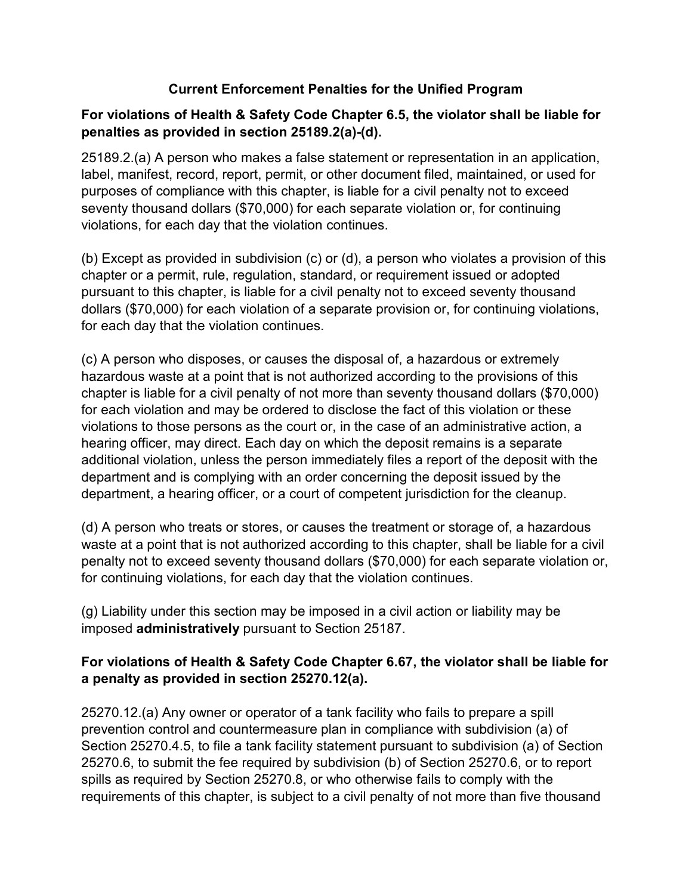### **Current Enforcement Penalties for the Unified Program**

### **For violations of Health & Safety Code Chapter 6.5, the violator shall be liable for penalties as provided in section 25189.2(a)-(d).**

25189.2.(a) A person who makes a false statement or representation in an application, label, manifest, record, report, permit, or other document filed, maintained, or used for purposes of compliance with this chapter, is liable for a civil penalty not to exceed seventy thousand dollars (\$70,000) for each separate violation or, for continuing violations, for each day that the violation continues.

(b) Except as provided in subdivision (c) or (d), a person who violates a provision of this chapter or a permit, rule, regulation, standard, or requirement issued or adopted pursuant to this chapter, is liable for a civil penalty not to exceed seventy thousand dollars (\$70,000) for each violation of a separate provision or, for continuing violations, for each day that the violation continues.

(c) A person who disposes, or causes the disposal of, a hazardous or extremely hazardous waste at a point that is not authorized according to the provisions of this chapter is liable for a civil penalty of not more than seventy thousand dollars (\$70,000) for each violation and may be ordered to disclose the fact of this violation or these violations to those persons as the court or, in the case of an administrative action, a hearing officer, may direct. Each day on which the deposit remains is a separate additional violation, unless the person immediately files a report of the deposit with the department and is complying with an order concerning the deposit issued by the department, a hearing officer, or a court of competent jurisdiction for the cleanup.

(d) A person who treats or stores, or causes the treatment or storage of, a hazardous waste at a point that is not authorized according to this chapter, shall be liable for a civil penalty not to exceed seventy thousand dollars (\$70,000) for each separate violation or, for continuing violations, for each day that the violation continues.

(g) Liability under this section may be imposed in a civil action or liability may be imposed **administratively** pursuant to Section 25187.

# **For violations of Health & Safety Code Chapter 6.67, the violator shall be liable for a penalty as provided in section 25270.12(a).**

25270.12.(a) Any owner or operator of a tank facility who fails to prepare a spill prevention control and countermeasure plan in compliance with subdivision (a) of Section 25270.4.5, to file a tank facility statement pursuant to subdivision (a) of Section 25270.6, to submit the fee required by subdivision (b) of Section 25270.6, or to report spills as required by Section 25270.8, or who otherwise fails to comply with the requirements of this chapter, is subject to a civil penalty of not more than five thousand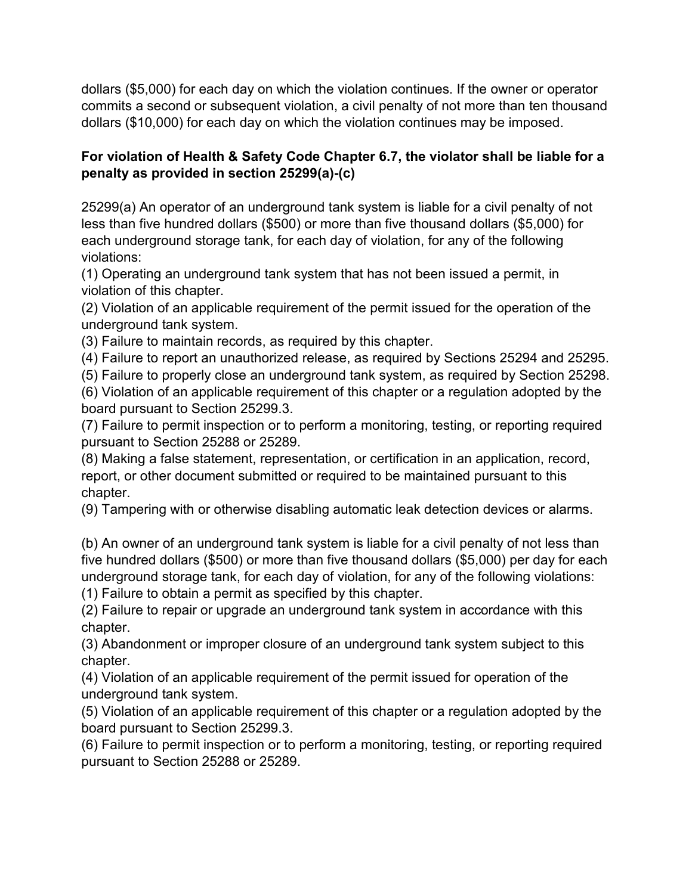dollars (\$5,000) for each day on which the violation continues. If the owner or operator commits a second or subsequent violation, a civil penalty of not more than ten thousand dollars (\$10,000) for each day on which the violation continues may be imposed.

### **For violation of Health & Safety Code Chapter 6.7, the violator shall be liable for a penalty as provided in section 25299(a)-(c)**

25299(a) An operator of an underground tank system is liable for a civil penalty of not less than five hundred dollars (\$500) or more than five thousand dollars (\$5,000) for each underground storage tank, for each day of violation, for any of the following violations:

(1) Operating an underground tank system that has not been issued a permit, in violation of this chapter.

(2) Violation of an applicable requirement of the permit issued for the operation of the underground tank system.

(3) Failure to maintain records, as required by this chapter.

(4) Failure to report an unauthorized release, as required by Sections 25294 and 25295.

(5) Failure to properly close an underground tank system, as required by Section 25298.

(6) Violation of an applicable requirement of this chapter or a regulation adopted by the board pursuant to Section 25299.3.

(7) Failure to permit inspection or to perform a monitoring, testing, or reporting required pursuant to Section 25288 or 25289.

(8) Making a false statement, representation, or certification in an application, record, report, or other document submitted or required to be maintained pursuant to this chapter.

(9) Tampering with or otherwise disabling automatic leak detection devices or alarms.

(b) An owner of an underground tank system is liable for a civil penalty of not less than five hundred dollars (\$500) or more than five thousand dollars (\$5,000) per day for each underground storage tank, for each day of violation, for any of the following violations: (1) Failure to obtain a permit as specified by this chapter.

(2) Failure to repair or upgrade an underground tank system in accordance with this chapter.

(3) Abandonment or improper closure of an underground tank system subject to this chapter.

(4) Violation of an applicable requirement of the permit issued for operation of the underground tank system.

(5) Violation of an applicable requirement of this chapter or a regulation adopted by the board pursuant to Section 25299.3.

(6) Failure to permit inspection or to perform a monitoring, testing, or reporting required pursuant to Section 25288 or 25289.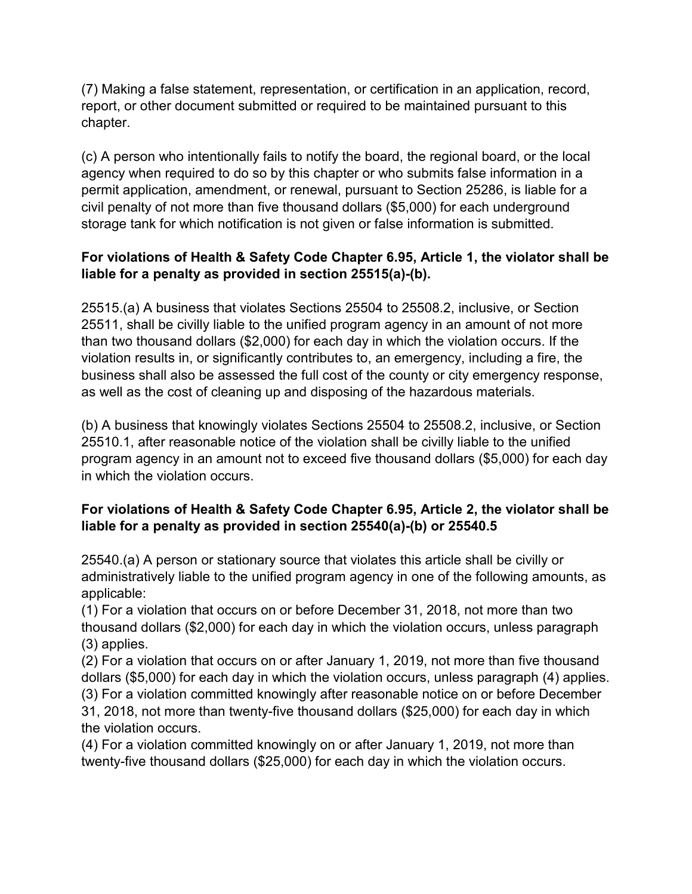(7) Making a false statement, representation, or certification in an application, record, report, or other document submitted or required to be maintained pursuant to this chapter.

(c) A person who intentionally fails to notify the board, the regional board, or the local agency when required to do so by this chapter or who submits false information in a permit application, amendment, or renewal, pursuant to Section 25286, is liable for a civil penalty of not more than five thousand dollars (\$5,000) for each underground storage tank for which notification is not given or false information is submitted.

# **For violations of Health & Safety Code Chapter 6.95, Article 1, the violator shall be liable for a penalty as provided in section 25515(a)-(b).**

25515.(a) A business that violates Sections 25504 to 25508.2, inclusive, or Section 25511, shall be civilly liable to the unified program agency in an amount of not more than two thousand dollars (\$2,000) for each day in which the violation occurs. If the violation results in, or significantly contributes to, an emergency, including a fire, the business shall also be assessed the full cost of the county or city emergency response, as well as the cost of cleaning up and disposing of the hazardous materials.

(b) A business that knowingly violates Sections 25504 to 25508.2, inclusive, or Section 25510.1, after reasonable notice of the violation shall be civilly liable to the unified program agency in an amount not to exceed five thousand dollars (\$5,000) for each day in which the violation occurs.

# **For violations of Health & Safety Code Chapter 6.95, Article 2, the violator shall be liable for a penalty as provided in section 25540(a)-(b) or 25540.5**

25540.(a) A person or stationary source that violates this article shall be civilly or administratively liable to the unified program agency in one of the following amounts, as applicable:

(1) For a violation that occurs on or before December 31, 2018, not more than two thousand dollars (\$2,000) for each day in which the violation occurs, unless paragraph (3) applies.

(2) For a violation that occurs on or after January 1, 2019, not more than five thousand dollars (\$5,000) for each day in which the violation occurs, unless paragraph (4) applies. (3) For a violation committed knowingly after reasonable notice on or before December 31, 2018, not more than twenty-five thousand dollars (\$25,000) for each day in which the violation occurs.

(4) For a violation committed knowingly on or after January 1, 2019, not more than twenty-five thousand dollars (\$25,000) for each day in which the violation occurs.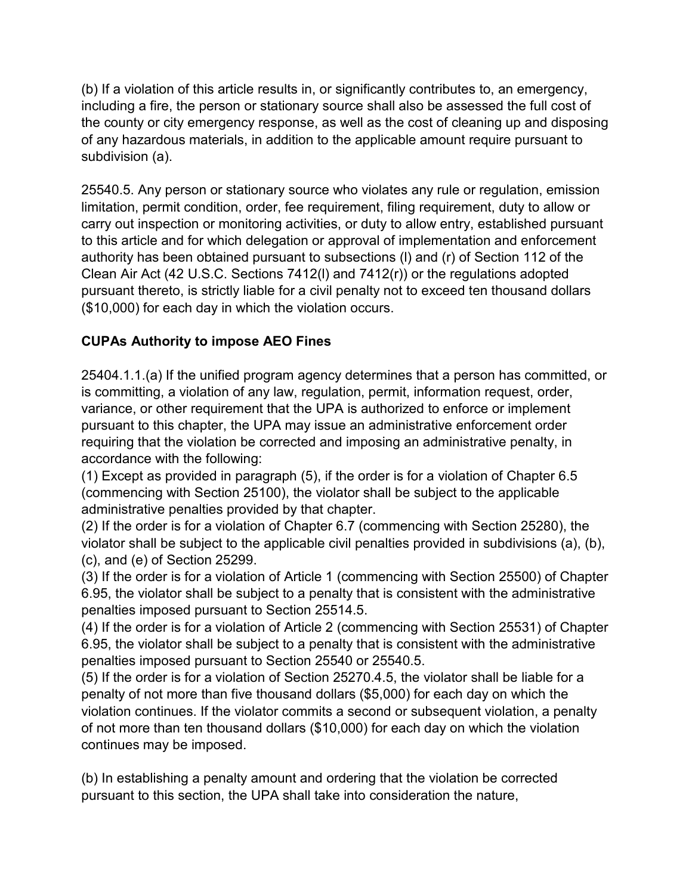(b) If a violation of this article results in, or significantly contributes to, an emergency, including a fire, the person or stationary source shall also be assessed the full cost of the county or city emergency response, as well as the cost of cleaning up and disposing of any hazardous materials, in addition to the applicable amount require pursuant to subdivision (a).

25540.5. Any person or stationary source who violates any rule or regulation, emission limitation, permit condition, order, fee requirement, filing requirement, duty to allow or carry out inspection or monitoring activities, or duty to allow entry, established pursuant to this article and for which delegation or approval of implementation and enforcement authority has been obtained pursuant to subsections (l) and (r) of Section 112 of the Clean Air Act (42 U.S.C. Sections 7412(l) and 7412(r)) or the regulations adopted pursuant thereto, is strictly liable for a civil penalty not to exceed ten thousand dollars (\$10,000) for each day in which the violation occurs.

# **CUPAs Authority to impose AEO Fines**

25404.1.1.(a) If the unified program agency determines that a person has committed, or is committing, a violation of any law, regulation, permit, information request, order, variance, or other requirement that the UPA is authorized to enforce or implement pursuant to this chapter, the UPA may issue an administrative enforcement order requiring that the violation be corrected and imposing an administrative penalty, in accordance with the following:

(1) Except as provided in paragraph (5), if the order is for a violation of Chapter 6.5 (commencing with Section 25100), the violator shall be subject to the applicable administrative penalties provided by that chapter.

(2) If the order is for a violation of Chapter 6.7 (commencing with Section 25280), the violator shall be subject to the applicable civil penalties provided in subdivisions (a), (b), (c), and (e) of Section 25299.

(3) If the order is for a violation of Article 1 (commencing with Section 25500) of Chapter 6.95, the violator shall be subject to a penalty that is consistent with the administrative penalties imposed pursuant to Section 25514.5.

(4) If the order is for a violation of Article 2 (commencing with Section 25531) of Chapter 6.95, the violator shall be subject to a penalty that is consistent with the administrative penalties imposed pursuant to Section 25540 or 25540.5.

(5) If the order is for a violation of Section 25270.4.5, the violator shall be liable for a penalty of not more than five thousand dollars (\$5,000) for each day on which the violation continues. If the violator commits a second or subsequent violation, a penalty of not more than ten thousand dollars (\$10,000) for each day on which the violation continues may be imposed.

(b) In establishing a penalty amount and ordering that the violation be corrected pursuant to this section, the UPA shall take into consideration the nature,